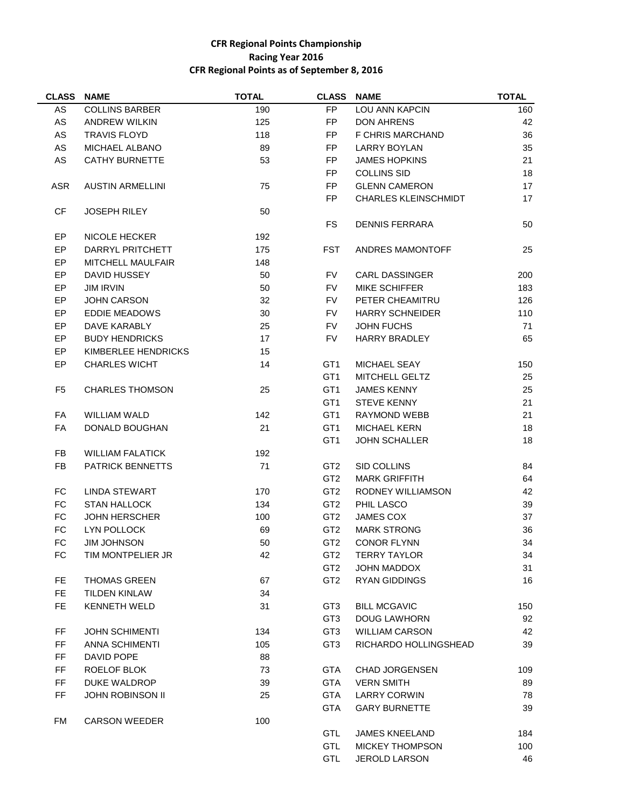## **CFR Regional Points Championship Racing Year 2016 CFR Regional Points as of September 8, 2016**

| <b>CLASS</b>   | <b>NAME</b>             | <b>TOTAL</b> | <b>CLASS</b>                       | <b>NAME</b>                         | <b>TOTAL</b> |
|----------------|-------------------------|--------------|------------------------------------|-------------------------------------|--------------|
| AS             | <b>COLLINS BARBER</b>   | 190          | FP                                 | LOU ANN KAPCIN                      | 160          |
| $\mathsf{AS}$  | <b>ANDREW WILKIN</b>    | 125          | FP                                 | <b>DON AHRENS</b>                   | 42           |
| AS             | <b>TRAVIS FLOYD</b>     | 118          | FP                                 | F CHRIS MARCHAND                    | 36           |
| AS             | MICHAEL ALBANO          | 89           | FP.                                | <b>LARRY BOYLAN</b>                 | 35           |
| AS             | <b>CATHY BURNETTE</b>   | 53           | <b>FP</b>                          | <b>JAMES HOPKINS</b>                | 21           |
|                |                         |              | FP                                 | <b>COLLINS SID</b>                  | 18           |
| <b>ASR</b>     | <b>AUSTIN ARMELLINI</b> | 75           | FP                                 | <b>GLENN CAMERON</b>                | 17           |
|                |                         |              | FP.                                | <b>CHARLES KLEINSCHMIDT</b>         | 17           |
| CF             | <b>JOSEPH RILEY</b>     | 50           |                                    |                                     |              |
|                |                         |              | FS                                 | <b>DENNIS FERRARA</b>               | 50           |
| EP             | <b>NICOLE HECKER</b>    | 192          |                                    |                                     |              |
| <b>EP</b>      | DARRYL PRITCHETT        | 175          | <b>FST</b>                         | ANDRES MAMONTOFF                    | 25           |
| EP             | MITCHELL MAULFAIR       | 148          |                                    |                                     |              |
| EP             | DAVID HUSSEY            | 50           | <b>FV</b>                          | <b>CARL DASSINGER</b>               | 200          |
| EP             | <b>JIM IRVIN</b>        | 50           | <b>FV</b>                          | <b>MIKE SCHIFFER</b>                | 183          |
| EP             | <b>JOHN CARSON</b>      | 32           | <b>FV</b>                          | PETER CHEAMITRU                     | 126          |
| EP             | EDDIE MEADOWS           | 30           | <b>FV</b>                          | <b>HARRY SCHNEIDER</b>              | 110          |
| EP             | DAVE KARABLY            | 25           | <b>FV</b>                          | <b>JOHN FUCHS</b>                   | 71           |
| EP             | <b>BUDY HENDRICKS</b>   | 17           | <b>FV</b>                          | <b>HARRY BRADLEY</b>                | 65           |
| EP             | KIMBERLEE HENDRICKS     | 15           |                                    |                                     |              |
| EP             | <b>CHARLES WICHT</b>    | 14           | GT <sub>1</sub>                    | <b>MICHAEL SEAY</b>                 | 150          |
|                |                         |              | GT <sub>1</sub>                    | MITCHELL GELTZ                      | 25           |
| F <sub>5</sub> | <b>CHARLES THOMSON</b>  | 25           | GT <sub>1</sub>                    | <b>JAMES KENNY</b>                  | 25           |
|                |                         |              | GT <sub>1</sub>                    | <b>STEVE KENNY</b>                  | 21           |
| FA             | WILLIAM WALD            | 142          | GT <sub>1</sub>                    | <b>RAYMOND WEBB</b>                 | 21           |
| <b>FA</b>      | DONALD BOUGHAN          | 21           | GT <sub>1</sub>                    | <b>MICHAEL KERN</b>                 | 18           |
|                |                         |              | GT <sub>1</sub>                    | <b>JOHN SCHALLER</b>                | 18           |
| FB.            | <b>WILLIAM FALATICK</b> | 192          |                                    |                                     |              |
| FB.            | <b>PATRICK BENNETTS</b> | 71           | GT <sub>2</sub>                    | SID COLLINS                         | 84           |
|                |                         |              | GT <sub>2</sub>                    | <b>MARK GRIFFITH</b>                | 64           |
| FC             | LINDA STEWART           | 170          | GT <sub>2</sub>                    | RODNEY WILLIAMSON                   | 42           |
| <b>FC</b>      | <b>STAN HALLOCK</b>     | 134          | GT <sub>2</sub>                    | PHIL LASCO                          | 39           |
| FC             | <b>JOHN HERSCHER</b>    | 100          | GT <sub>2</sub>                    | <b>JAMES COX</b>                    | 37           |
| FC             | LYN POLLOCK             | 69           | GT <sub>2</sub>                    | <b>MARK STRONG</b>                  | 36           |
| FC             | <b>JIM JOHNSON</b>      | 50           | GT <sub>2</sub>                    | <b>CONOR FLYNN</b>                  | 34           |
|                |                         |              |                                    | <b>TERRY TAYLOR</b>                 | 34           |
| FC             | TIM MONTPELIER JR       | 42           | GT <sub>2</sub><br>GT <sub>2</sub> |                                     |              |
| FE.            | <b>THOMAS GREEN</b>     | 67           | GT <sub>2</sub>                    | JOHN MADDOX<br><b>RYAN GIDDINGS</b> | 31<br>16     |
|                |                         |              |                                    |                                     |              |
| FE.            | <b>TILDEN KINLAW</b>    | 34           |                                    |                                     |              |
| FE.            | <b>KENNETH WELD</b>     | 31           | GT3                                | <b>BILL MCGAVIC</b>                 | 150          |
|                |                         |              | GT <sub>3</sub>                    | <b>DOUG LAWHORN</b>                 | 92           |
| FF             | <b>JOHN SCHIMENTI</b>   | 134          | GT <sub>3</sub>                    | <b>WILLIAM CARSON</b>               | 42           |
| FF             | <b>ANNA SCHIMENTI</b>   | 105          | GT <sub>3</sub>                    | RICHARDO HOLLINGSHEAD               | 39           |
| FF             | DAVID POPE              | 88           |                                    |                                     |              |
| FF             | ROELOF BLOK             | 73           | GTA                                | <b>CHAD JORGENSEN</b>               | 109          |
| FF             | DUKE WALDROP            | 39           | <b>GTA</b>                         | <b>VERN SMITH</b>                   | 89           |
| FF             | <b>JOHN ROBINSON II</b> | 25           | <b>GTA</b>                         | <b>LARRY CORWIN</b>                 | 78           |
|                |                         |              | <b>GTA</b>                         | <b>GARY BURNETTE</b>                | 39           |
| FM             | <b>CARSON WEEDER</b>    | 100          |                                    |                                     |              |
|                |                         |              | GTL                                | <b>JAMES KNEELAND</b>               | 184          |
|                |                         |              | <b>GTL</b>                         | <b>MICKEY THOMPSON</b>              | 100          |

GTL MICKEY THOMPSON 100 GTL JEROLD LARSON 46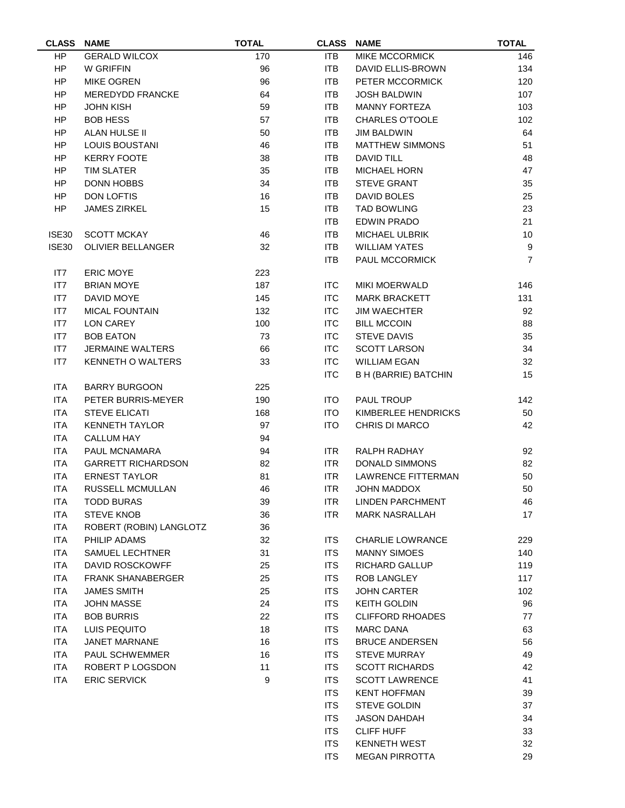| <b>CLASS</b> | <b>NAME</b>               | <b>TOTAL</b> | <b>CLASS</b> | <b>NAME</b>                 | <b>TOTAL</b>     |
|--------------|---------------------------|--------------|--------------|-----------------------------|------------------|
| HP           | <b>GERALD WILCOX</b>      | 170          | <b>ITB</b>   | <b>MIKE MCCORMICK</b>       | 146              |
| HP.          | W GRIFFIN                 | 96           | <b>ITB</b>   | <b>DAVID ELLIS-BROWN</b>    | 134              |
| HP           | <b>MIKE OGREN</b>         | 96           | <b>ITB</b>   | PETER MCCORMICK             | 120              |
| HP           | MEREDYDD FRANCKE          | 64           | <b>ITB</b>   | <b>JOSH BALDWIN</b>         | 107              |
| HP           | <b>JOHN KISH</b>          | 59           | <b>ITB</b>   | <b>MANNY FORTEZA</b>        | 103              |
| HP           | <b>BOB HESS</b>           | 57           | <b>ITB</b>   | <b>CHARLES O'TOOLE</b>      | 102              |
| HP           | ALAN HULSE II             | 50           | <b>ITB</b>   | <b>JIM BALDWIN</b>          | 64               |
| HP           | <b>LOUIS BOUSTANI</b>     | 46           | <b>ITB</b>   | <b>MATTHEW SIMMONS</b>      | 51               |
| HP           | <b>KERRY FOOTE</b>        | 38           | <b>ITB</b>   | DAVID TILL                  | 48               |
| HP           | <b>TIM SLATER</b>         | 35           | <b>ITB</b>   | <b>MICHAEL HORN</b>         | 47               |
| <b>HP</b>    | <b>DONN HOBBS</b>         | 34           | <b>ITB</b>   | <b>STEVE GRANT</b>          | 35               |
| HP           | <b>DON LOFTIS</b>         | 16           | <b>ITB</b>   | DAVID BOLES                 | 25               |
| <b>HP</b>    | <b>JAMES ZIRKEL</b>       | 15           | <b>ITB</b>   | <b>TAD BOWLING</b>          | 23               |
|              |                           |              | <b>ITB</b>   | <b>EDWIN PRADO</b>          | 21               |
| ISE30        | <b>SCOTT MCKAY</b>        | 46           | <b>ITB</b>   | <b>MICHAEL ULBRIK</b>       | $10$             |
| <b>ISE30</b> | <b>OLIVIER BELLANGER</b>  | 32           | <b>ITB</b>   | <b>WILLIAM YATES</b>        | $\boldsymbol{9}$ |
|              |                           |              | <b>ITB</b>   | <b>PAUL MCCORMICK</b>       | $\overline{7}$   |
| IT7          | <b>ERIC MOYE</b>          | 223          |              |                             |                  |
| IT7          | <b>BRIAN MOYE</b>         | 187          | <b>ITC</b>   | <b>MIKI MOERWALD</b>        | 146              |
| IT7          | DAVID MOYE                | 145          | <b>ITC</b>   | <b>MARK BRACKETT</b>        | 131              |
| IT7          | <b>MICAL FOUNTAIN</b>     | 132          | <b>ITC</b>   | <b>JIM WAECHTER</b>         | 92               |
| IT7          | LON CAREY                 | 100          | <b>ITC</b>   | <b>BILL MCCOIN</b>          | 88               |
| IT7          | <b>BOB EATON</b>          | 73           | <b>ITC</b>   | <b>STEVE DAVIS</b>          | 35               |
| IT7          | <b>JERMAINE WALTERS</b>   | 66           | <b>ITC</b>   | <b>SCOTT LARSON</b>         | 34               |
| IT7          | <b>KENNETH O WALTERS</b>  | 33           | <b>ITC</b>   | <b>WILLIAM EGAN</b>         | 32               |
|              |                           |              | <b>ITC</b>   | <b>B H (BARRIE) BATCHIN</b> | 15               |
| <b>ITA</b>   | <b>BARRY BURGOON</b>      | 225          |              |                             |                  |
| <b>ITA</b>   | PETER BURRIS-MEYER        | 190          | <b>ITO</b>   | PAUL TROUP                  | 142              |
| <b>ITA</b>   | <b>STEVE ELICATI</b>      | 168          | <b>ITO</b>   | KIMBERLEE HENDRICKS         | 50               |
| <b>ITA</b>   | <b>KENNETH TAYLOR</b>     | 97           | <b>ITO</b>   | <b>CHRIS DI MARCO</b>       | 42               |
| <b>ITA</b>   | <b>CALLUM HAY</b>         | 94           |              |                             |                  |
| <b>ITA</b>   | PAUL MCNAMARA             | 94           | <b>ITR</b>   | RALPH RADHAY                | 92               |
| <b>ITA</b>   | <b>GARRETT RICHARDSON</b> | 82           | <b>ITR</b>   | <b>DONALD SIMMONS</b>       | 82               |
| <b>ITA</b>   | <b>ERNEST TAYLOR</b>      | 81           | <b>ITR</b>   | <b>LAWRENCE FITTERMAN</b>   | 50               |
| <b>ITA</b>   | RUSSELL MCMULLAN          | 46           | <b>ITR</b>   | JOHN MADDOX                 | 50               |
| <b>ITA</b>   | <b>TODD BURAS</b>         | 39           | <b>ITR</b>   | <b>LINDEN PARCHMENT</b>     | 46               |
| ITA          | <b>STEVE KNOB</b>         | 36           | <b>ITR</b>   | <b>MARK NASRALLAH</b>       | 17               |
| ITA          | ROBERT (ROBIN) LANGLOTZ   | 36           |              |                             |                  |
| ITA          | PHILIP ADAMS              | 32           | <b>ITS</b>   | <b>CHARLIE LOWRANCE</b>     | 229              |
| <b>ITA</b>   | SAMUEL LECHTNER           | 31           | <b>ITS</b>   | <b>MANNY SIMOES</b>         | 140              |
| ITA          | <b>DAVID ROSCKOWFF</b>    | 25           | <b>ITS</b>   | RICHARD GALLUP              | 119              |
| ITA          | <b>FRANK SHANABERGER</b>  | 25           | <b>ITS</b>   | ROB LANGLEY                 | 117              |
| ITA          | <b>JAMES SMITH</b>        | 25           | <b>ITS</b>   | <b>JOHN CARTER</b>          | 102              |
| ITA          | JOHN MASSE                | 24           | <b>ITS</b>   | <b>KEITH GOLDIN</b>         | 96               |
| <b>ITA</b>   | <b>BOB BURRIS</b>         | 22           | <b>ITS</b>   | <b>CLIFFORD RHOADES</b>     | 77               |
| <b>ITA</b>   | LUIS PEQUITO              | 18           | <b>ITS</b>   | <b>MARC DANA</b>            | 63               |
| ITA          | JANET MARNANE             | 16           | <b>ITS</b>   | <b>BRUCE ANDERSEN</b>       | 56               |
| ITA          | PAUL SCHWEMMER            | 16           | <b>ITS</b>   | <b>STEVE MURRAY</b>         | 49               |
| ITA          | ROBERT P LOGSDON          | 11           | <b>ITS</b>   | <b>SCOTT RICHARDS</b>       | 42               |
| <b>ITA</b>   | <b>ERIC SERVICK</b>       | 9            | <b>ITS</b>   | <b>SCOTT LAWRENCE</b>       | 41               |
|              |                           |              | <b>ITS</b>   | <b>KENT HOFFMAN</b>         | 39               |
|              |                           |              | <b>ITS</b>   | <b>STEVE GOLDIN</b>         | 37               |
|              |                           |              | <b>ITS</b>   | <b>JASON DAHDAH</b>         | 34               |
|              |                           |              | <b>ITS</b>   | <b>CLIFF HUFF</b>           | 33               |

ITS KENNETH WEST 32 ITS MEGAN PIRROTTA 29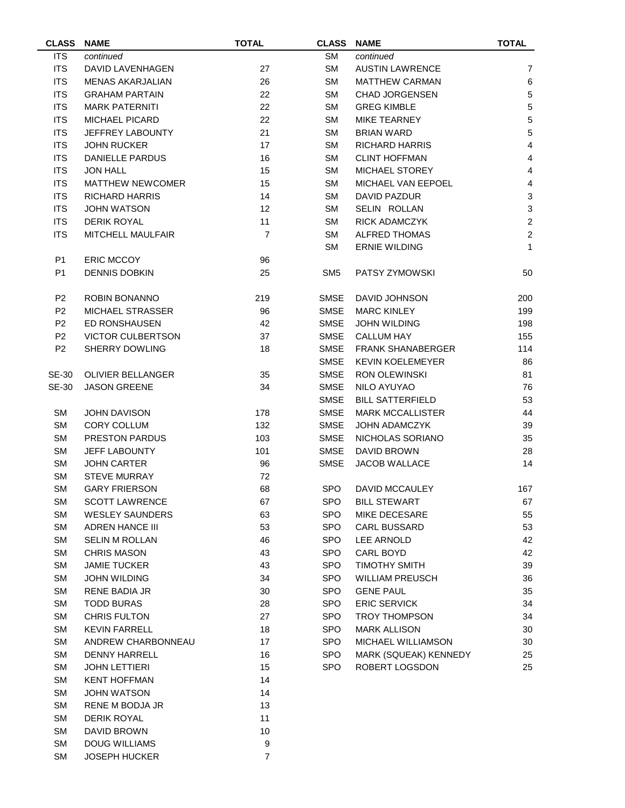| <b>CLASS</b>   | <b>NAME</b>              | <b>TOTAL</b>   | <b>CLASS</b>    | <b>NAME</b>              | <b>TOTAL</b>              |
|----------------|--------------------------|----------------|-----------------|--------------------------|---------------------------|
| <b>ITS</b>     | continued                |                | <b>SM</b>       | continued                |                           |
| <b>ITS</b>     | <b>DAVID LAVENHAGEN</b>  | 27             | SM              | <b>AUSTIN LAWRENCE</b>   | $\overline{7}$            |
| <b>ITS</b>     | <b>MENAS AKARJALIAN</b>  | 26             | <b>SM</b>       | <b>MATTHEW CARMAN</b>    | 6                         |
| <b>ITS</b>     | <b>GRAHAM PARTAIN</b>    | 22             | <b>SM</b>       | <b>CHAD JORGENSEN</b>    | $\sqrt{5}$                |
| <b>ITS</b>     | <b>MARK PATERNITI</b>    | 22             | SM              | <b>GREG KIMBLE</b>       | $\overline{5}$            |
| <b>ITS</b>     | <b>MICHAEL PICARD</b>    | 22             | <b>SM</b>       | <b>MIKE TEARNEY</b>      | $\mathbf 5$               |
| <b>ITS</b>     | JEFFREY LABOUNTY         | 21             | <b>SM</b>       | <b>BRIAN WARD</b>        | $\overline{5}$            |
| <b>ITS</b>     | <b>JOHN RUCKER</b>       | 17             | <b>SM</b>       | <b>RICHARD HARRIS</b>    | $\overline{\mathbf{4}}$   |
| <b>ITS</b>     | <b>DANIELLE PARDUS</b>   | 16             | <b>SM</b>       | <b>CLINT HOFFMAN</b>     | $\overline{\mathbf{4}}$   |
| <b>ITS</b>     | <b>JON HALL</b>          | 15             | <b>SM</b>       | MICHAEL STOREY           | $\overline{\mathbf{4}}$   |
| <b>ITS</b>     | <b>MATTHEW NEWCOMER</b>  | 15             | <b>SM</b>       | MICHAEL VAN EEPOEL       | 4                         |
| <b>ITS</b>     | <b>RICHARD HARRIS</b>    | 14             | <b>SM</b>       | <b>DAVID PAZDUR</b>      | $\ensuremath{\mathsf{3}}$ |
| <b>ITS</b>     | <b>JOHN WATSON</b>       | 12             | <b>SM</b>       | SELIN ROLLAN             | $\ensuremath{\mathsf{3}}$ |
| <b>ITS</b>     | <b>DERIK ROYAL</b>       | 11             | SM              | <b>RICK ADAMCZYK</b>     | $\boldsymbol{2}$          |
| <b>ITS</b>     | MITCHELL MAULFAIR        | $\overline{7}$ | <b>SM</b>       | <b>ALFRED THOMAS</b>     | $\overline{c}$            |
|                |                          |                | <b>SM</b>       | <b>ERNIE WILDING</b>     | $\mathbf{1}$              |
| P <sub>1</sub> | <b>ERIC MCCOY</b>        | 96             |                 |                          |                           |
| P <sub>1</sub> | <b>DENNIS DOBKIN</b>     | 25             | SM <sub>5</sub> | PATSY ZYMOWSKI           | 50                        |
|                |                          |                |                 |                          |                           |
| P <sub>2</sub> | ROBIN BONANNO            | 219            | <b>SMSE</b>     | <b>DAVID JOHNSON</b>     | 200                       |
| P <sub>2</sub> | MICHAEL STRASSER         | 96             | <b>SMSE</b>     | <b>MARC KINLEY</b>       | 199                       |
| P <sub>2</sub> | ED RONSHAUSEN            | 42             | <b>SMSE</b>     | <b>JOHN WILDING</b>      | 198                       |
| P <sub>2</sub> | <b>VICTOR CULBERTSON</b> | 37             | <b>SMSE</b>     | <b>CALLUM HAY</b>        | 155                       |
| P <sub>2</sub> | SHERRY DOWLING           | 18             | <b>SMSE</b>     | <b>FRANK SHANABERGER</b> | 114                       |
|                |                          |                | <b>SMSE</b>     | <b>KEVIN KOELEMEYER</b>  | 86                        |
| <b>SE-30</b>   | <b>OLIVIER BELLANGER</b> | 35             | <b>SMSE</b>     | <b>RON OLEWINSKI</b>     | 81                        |
| <b>SE-30</b>   | <b>JASON GREENE</b>      | 34             | <b>SMSE</b>     | NILO AYUYAO              | 76                        |
|                |                          |                | <b>SMSE</b>     | <b>BILL SATTERFIELD</b>  | 53                        |
| <b>SM</b>      | <b>JOHN DAVISON</b>      | 178            | SMSE            | <b>MARK MCCALLISTER</b>  | 44                        |
| <b>SM</b>      | <b>CORY COLLUM</b>       | 132            | SMSE            | <b>JOHN ADAMCZYK</b>     | 39                        |
| <b>SM</b>      | <b>PRESTON PARDUS</b>    | 103            | <b>SMSE</b>     | NICHOLAS SORIANO         | 35                        |
| <b>SM</b>      | <b>JEFF LABOUNTY</b>     | 101            | <b>SMSE</b>     | DAVID BROWN              | 28                        |
| <b>SM</b>      | <b>JOHN CARTER</b>       |                | <b>SMSE</b>     | <b>JACOB WALLACE</b>     | 14                        |
|                | <b>STEVE MURRAY</b>      | 96             |                 |                          |                           |
| <b>SM</b>      |                          | 72             |                 |                          |                           |
| <b>SM</b>      | <b>GARY FRIERSON</b>     | 68             | <b>SPO</b>      | DAVID MCCAULEY           | 167                       |
| SM             | <b>SCOTT LAWRENCE</b>    | 67             | <b>SPO</b>      | <b>BILL STEWART</b>      | 67                        |
| SM             | <b>WESLEY SAUNDERS</b>   | 63             | <b>SPO</b>      | MIKE DECESARE            | 55                        |
| SM             | <b>ADREN HANCE III</b>   | 53             | <b>SPO</b>      | <b>CARL BUSSARD</b>      | 53                        |
| <b>SM</b>      | <b>SELIN M ROLLAN</b>    | 46             | <b>SPO</b>      | LEE ARNOLD               | 42                        |
| SM             | <b>CHRIS MASON</b>       | 43             | <b>SPO</b>      | CARL BOYD                | 42                        |
| SM             | <b>JAMIE TUCKER</b>      | 43             | <b>SPO</b>      | <b>TIMOTHY SMITH</b>     | 39                        |
| <b>SM</b>      | JOHN WILDING             | 34             | <b>SPO</b>      | <b>WILLIAM PREUSCH</b>   | 36                        |
| <b>SM</b>      | <b>RENE BADIA JR</b>     | 30             | <b>SPO</b>      | <b>GENE PAUL</b>         | 35                        |
| SM             | <b>TODD BURAS</b>        | 28             | <b>SPO</b>      | <b>ERIC SERVICK</b>      | 34                        |
| <b>SM</b>      | <b>CHRIS FULTON</b>      | 27             | <b>SPO</b>      | <b>TROY THOMPSON</b>     | 34                        |
| <b>SM</b>      | <b>KEVIN FARRELL</b>     | 18             | <b>SPO</b>      | <b>MARK ALLISON</b>      | 30                        |
| <b>SM</b>      | ANDREW CHARBONNEAU       | 17             | <b>SPO</b>      | MICHAEL WILLIAMSON       | 30                        |
| <b>SM</b>      | <b>DENNY HARRELL</b>     | 16             | <b>SPO</b>      | MARK (SQUEAK) KENNEDY    | 25                        |
| SM             | <b>JOHN LETTIERI</b>     | 15             | <b>SPO</b>      | ROBERT LOGSDON           | 25                        |
| <b>SM</b>      | <b>KENT HOFFMAN</b>      | 14             |                 |                          |                           |
| SM             | <b>JOHN WATSON</b>       | 14             |                 |                          |                           |
| SM             | RENE M BODJA JR          | 13             |                 |                          |                           |
| <b>SM</b>      | <b>DERIK ROYAL</b>       | 11             |                 |                          |                           |
| <b>SM</b>      | DAVID BROWN              | $10$           |                 |                          |                           |
| <b>SM</b>      | <b>DOUG WILLIAMS</b>     | 9              |                 |                          |                           |

SM JOSEPH HUCKER 7